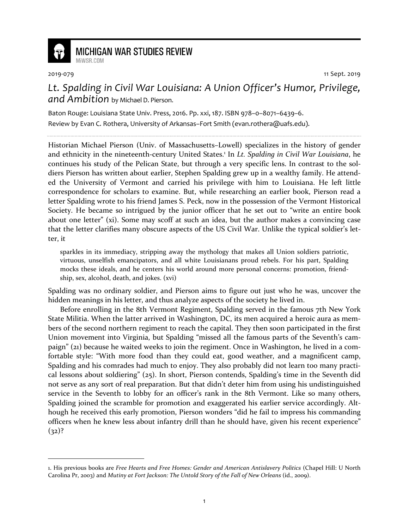

## **MICHIGAN WAR STUDIES REVIEW** MiWSR COM

2019-079 11 Sept. 2019

*Lt. Spalding in Civil War Louisiana: A Union Officer's Humor, Privilege, and Ambition* by Michael D. Pierson.

Baton Rouge: Louisiana State Univ. Press, 2016. Pp. xxi, 187. ISBN 978–0–8071–6439–6. Review by Evan C. Rothera, University of Arkansas–Fort Smith (evan.rothera@uafs.edu).

Historian Michael Pierson (Univ. of Massachusetts–Lowell) specializes in the history of gender and ethnicity in the nineteenth-century United States.<sup>1</sup> In *Lt. Spalding in Civil War Louisiana*, he continues his study of the Pelican State, but through a very specific lens. In contrast to the soldiers Pierson has written about earlier, Stephen Spalding grew up in a wealthy family. He attended the University of Vermont and carried his privilege with him to Louisiana. He left little correspondence for scholars to examine. But, while researching an earlier book, Pierson read a letter Spalding wrote to his friend James S. Peck, now in the possession of the Vermont Historical Society. He became so intrigued by the junior officer that he set out to "write an entire book about one letter" (xi). Some may scoff at such an idea, but the author makes a convincing case that the letter clarifies many obscure aspects of the US Civil War. Unlike the typical soldier's letter, it

sparkles in its immediacy, stripping away the mythology that makes all Union soldiers patriotic, virtuous, unselfish emancipators, and all white Louisianans proud rebels. For his part, Spalding mocks these ideals, and he centers his world around more personal concerns: promotion, friendship, sex, alcohol, death, and jokes. (xvi)

Spalding was no ordinary soldier, and Pierson aims to figure out just who he was, uncover the hidden meanings in his letter, and thus analyze aspects of the society he lived in.

Before enrolling in the 8th Vermont Regiment, Spalding served in the famous 7th New York State Militia. When the latter arrived in Washington, DC, its men acquired a heroic aura as members of the second northern regiment to reach the capital. They then soon participated in the first Union movement into Virginia, but Spalding "missed all the famous parts of the Seventh's campaign" (21) because he waited weeks to join the regiment. Once in Washington, he lived in a comfortable style: "With more food than they could eat, good weather, and a magnificent camp, Spalding and his comrades had much to enjoy. They also probably did not learn too many practical lessons about soldiering" (25). In short, Pierson contends, Spalding's time in the Seventh did not serve as any sort of real preparation. But that didn't deter him from using his undistinguished service in the Seventh to lobby for an officer's rank in the 8th Vermont. Like so many others, Spalding joined the scramble for promotion and exaggerated his earlier service accordingly. Although he received this early promotion, Pierson wonders "did he fail to impress his commanding officers when he knew less about infantry drill than he should have, given his recent experience"  $(32)?$ 

<sup>1.</sup> His previous books are *Free Hearts and Free Homes: Gender and American Antislavery Politics* (Chapel Hill: U North Carolina Pr, 2003) and *Mutiny at Fort Jackson: The Untold Story of the Fall of New Orleans* (id., 2009).